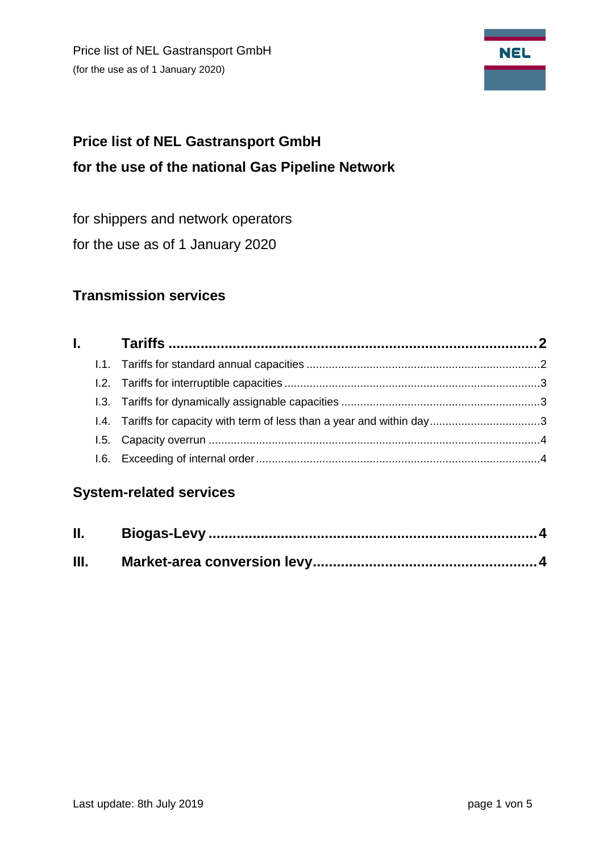Price list of NEL Gastransport GmbH (for the use as of 1 January 2020)



# **Price list of NEL Gastransport GmbH for the use of the national Gas Pipeline Network**

for shippers and network operators

for the use as of 1 January 2020

# **Transmission services**

|  | 1.4. Tariffs for capacity with term of less than a year and within day3 |  |
|--|-------------------------------------------------------------------------|--|
|  |                                                                         |  |
|  |                                                                         |  |

# **System-related services**

| <b>II.</b> |  |
|------------|--|
| Ш.         |  |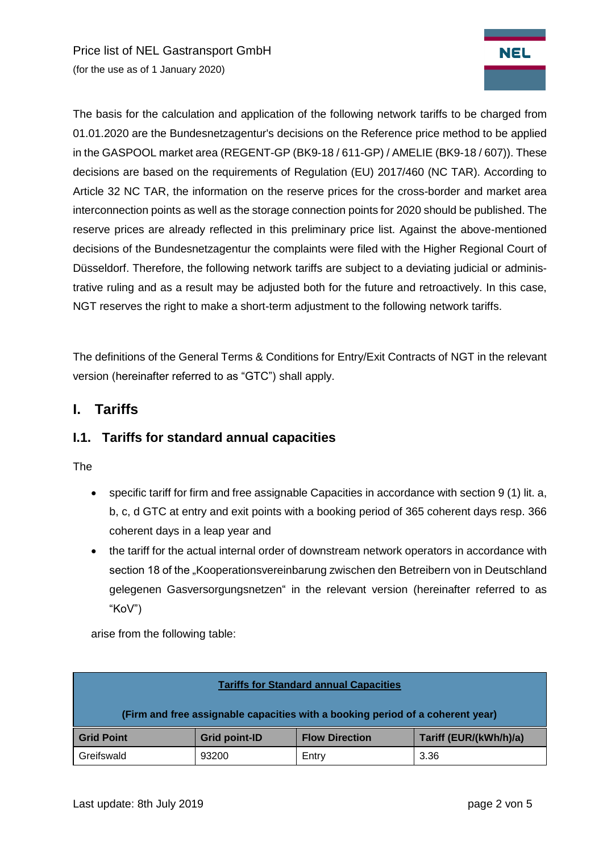Price list of NEL Gastransport GmbH (for the use as of 1 January 2020)



The basis for the calculation and application of the following network tariffs to be charged from 01.01.2020 are the Bundesnetzagentur's decisions on the Reference price method to be applied in the GASPOOL market area (REGENT-GP (BK9-18 / 611-GP) / AMELIE (BK9-18 / 607)). These decisions are based on the requirements of Regulation (EU) 2017/460 (NC TAR). According to Article 32 NC TAR, the information on the reserve prices for the cross-border and market area interconnection points as well as the storage connection points for 2020 should be published. The reserve prices are already reflected in this preliminary price list. Against the above-mentioned decisions of the Bundesnetzagentur the complaints were filed with the Higher Regional Court of Düsseldorf. Therefore, the following network tariffs are subject to a deviating judicial or administrative ruling and as a result may be adjusted both for the future and retroactively. In this case, NGT reserves the right to make a short-term adjustment to the following network tariffs.

<span id="page-1-0"></span>The definitions of the General Terms & Conditions for Entry/Exit Contracts of NGT in the relevant version (hereinafter referred to as "GTC") shall apply.

## **I. Tariffs**

#### <span id="page-1-1"></span>**I.1. Tariffs for standard annual capacities**

The

- specific tariff for firm and free assignable Capacities in accordance with section 9 (1) lit. a, b, c, d GTC at entry and exit points with a booking period of 365 coherent days resp. 366 coherent days in a leap year and
- the tariff for the actual internal order of downstream network operators in accordance with section 18 of the "Kooperationsvereinbarung zwischen den Betreibern von in Deutschland gelegenen Gasversorgungsnetzen" in the relevant version (hereinafter referred to as "KoV")

arise from the following table:

| <b>Tariffs for Standard annual Capacities</b>                                  |               |                       |                        |  |  |  |  |
|--------------------------------------------------------------------------------|---------------|-----------------------|------------------------|--|--|--|--|
| (Firm and free assignable capacities with a booking period of a coherent year) |               |                       |                        |  |  |  |  |
| <b>Grid Point</b>                                                              | Grid point-ID | <b>Flow Direction</b> | Tariff (EUR/(kWh/h)/a) |  |  |  |  |
| Greifswald                                                                     | 93200         | Entry                 | 3.36                   |  |  |  |  |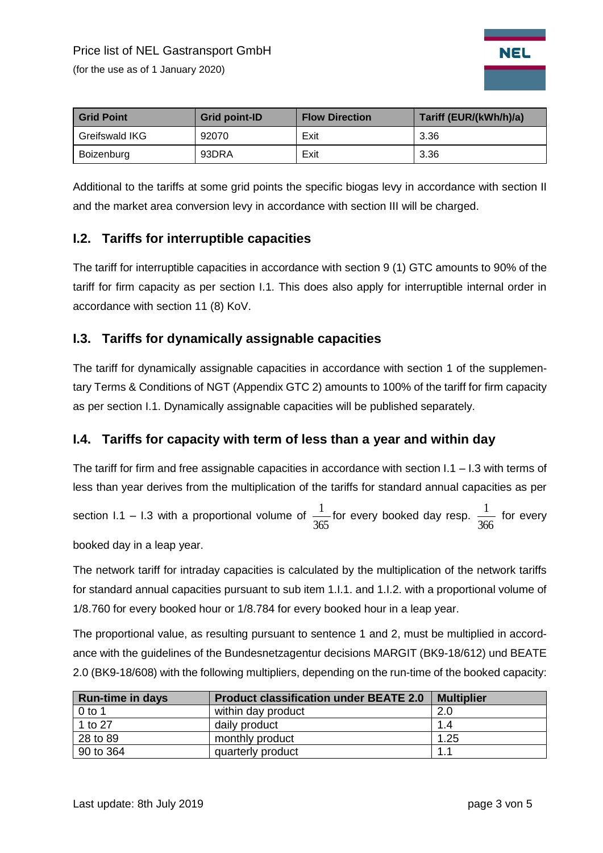(for the use as of 1 January 2020)



| <b>Grid Point</b> | <b>Grid point-ID</b> | <b>Flow Direction</b> | Tariff (EUR/(kWh/h)/a) |
|-------------------|----------------------|-----------------------|------------------------|
| Greifswald IKG    | 92070                | Exit                  | 3.36                   |
| Boizenburg        | 93DRA                | Exit                  | 3.36                   |

Additional to the tariffs at some grid points the specific biogas levy in accordance with section II and the market area conversion levy in accordance with section III will be charged.

## <span id="page-2-0"></span>**I.2. Tariffs for interruptible capacities**

The tariff for interruptible capacities in accordance with section 9 (1) GTC amounts to 90% of the tariff for firm capacity as per section I.1. This does also apply for interruptible internal order in accordance with section 11 (8) KoV.

#### <span id="page-2-1"></span>**I.3. Tariffs for dynamically assignable capacities**

The tariff for dynamically assignable capacities in accordance with section 1 of the supplementary Terms & Conditions of NGT (Appendix GTC 2) amounts to 100% of the tariff for firm capacity as per section I.1. Dynamically assignable capacities will be published separately.

## <span id="page-2-2"></span>**I.4. Tariffs for capacity with term of less than a year and within day**

The tariff for firm and free assignable capacities in accordance with section I.1 – I.3 with terms of less than year derives from the multiplication of the tariffs for standard annual capacities as per

section I.1 – I.3 with a proportional volume of 365  $\frac{1}{\sqrt{2}}$  for every booked day resp. 366  $\frac{1}{\sqrt{2}}$  for every

booked day in a leap year.

The network tariff for intraday capacities is calculated by the multiplication of the network tariffs for standard annual capacities pursuant to sub item 1.I.1. and 1.I.2. with a proportional volume of 1/8.760 for every booked hour or 1/8.784 for every booked hour in a leap year.

The proportional value, as resulting pursuant to sentence 1 and 2, must be multiplied in accordance with the guidelines of the Bundesnetzagentur decisions MARGIT (BK9-18/612) und BEATE 2.0 (BK9-18/608) with the following multipliers, depending on the run-time of the booked capacity:

| <b>Run-time in days</b> | <b>Product classification under BEATE 2.0</b> | <b>Multiplier</b> |
|-------------------------|-----------------------------------------------|-------------------|
| $0$ to 1                | within day product                            | 2.0               |
| 1 to 27                 | daily product                                 | 1.4               |
| 28 to 89                | monthly product                               | 1.25              |
| 90 to 364               | quarterly product                             | 1.1               |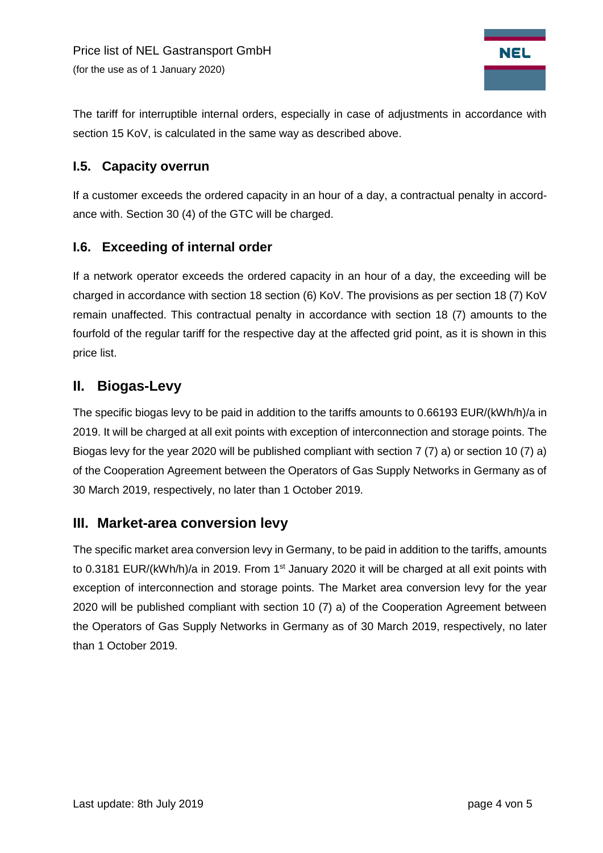

The tariff for interruptible internal orders, especially in case of adjustments in accordance with section 15 KoV, is calculated in the same way as described above.

#### <span id="page-3-0"></span>**I.5. Capacity overrun**

If a customer exceeds the ordered capacity in an hour of a day, a contractual penalty in accordance with. Section 30 (4) of the GTC will be charged.

#### <span id="page-3-1"></span>**I.6. Exceeding of internal order**

If a network operator exceeds the ordered capacity in an hour of a day, the exceeding will be charged in accordance with section 18 section (6) KoV. The provisions as per section 18 (7) KoV remain unaffected. This contractual penalty in accordance with section 18 (7) amounts to the fourfold of the regular tariff for the respective day at the affected grid point, as it is shown in this price list.

# <span id="page-3-2"></span>**II. Biogas-Levy**

The specific biogas levy to be paid in addition to the tariffs amounts to 0.66193 EUR/(kWh/h)/a in 2019. It will be charged at all exit points with exception of interconnection and storage points. The Biogas levy for the year 2020 will be published compliant with section 7 (7) a) or section 10 (7) a) of the Cooperation Agreement between the Operators of Gas Supply Networks in Germany as of 30 March 2019, respectively, no later than 1 October 2019.

## <span id="page-3-3"></span>**III. Market-area conversion levy**

The specific market area conversion levy in Germany, to be paid in addition to the tariffs, amounts to 0.3181 EUR/(kWh/h)/a in 2019. From 1<sup>st</sup> January 2020 it will be charged at all exit points with exception of interconnection and storage points. The Market area conversion levy for the year 2020 will be published compliant with section 10 (7) a) of the Cooperation Agreement between the Operators of Gas Supply Networks in Germany as of 30 March 2019, respectively, no later than 1 October 2019.